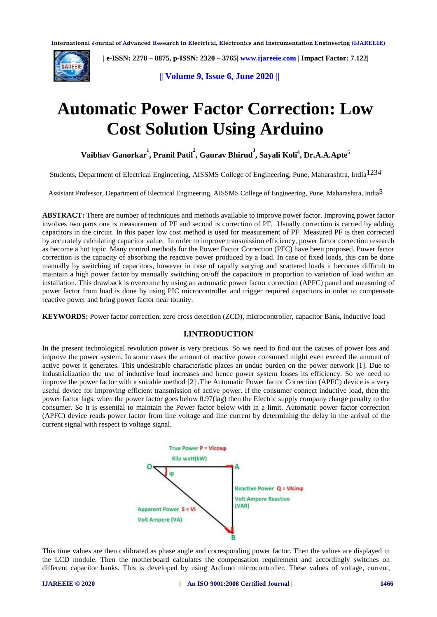

 **| e-ISSN: 2278 – 8875, p-ISSN: 2320 – 3765[| www.ijareeie.com](http://www.ijareeie.com/) | Impact Factor: 7.122|** 

**|| Volume 9, Issue 6, June 2020 ||** 

# **Automatic Power Factor Correction: Low Cost Solution Using Arduino**

**Vaibhav Ganorkar 1 , Pranil Patil 2 , Gaurav Bhirud 3 , Sayali Koli<sup>4</sup> , Dr.A.A.Apte<sup>5</sup>**

Students, Department of Electrical Engineering, AISSMS College of Engineering, Pune, Maharashtra, India1234

Assistant Professor, Department of Electrical Engineering, AISSMS College of Engineering, Pune, Maharashtra, India5

**ABSTRACT:** There are number of techniques and methods available to improve power factor. Improving power factor involves two parts one is measurement of PF and second is correction of PF. Usually correction is carried by adding capacitors in the circuit. In this paper low cost method is used for measurement of PF. Measured PF is then corrected by accurately calculating capacitor value. In order to improve transmission efficiency, power factor correction research as become a hot topic. Many control methods for the Power Factor Correction (PFC) have been proposed. Power factor correction is the capacity of absorbing the reactive power produced by a load. In case of fixed loads, this can be done manually by switching of capacitors, however in case of rapidly varying and scattered loads it becomes difficult to maintain a high power factor by manually switching on/off the capacitors in proportion to variation of load within an installation. This drawback is overcome by using an automatic power factor correction (APFC) panel and measuring of power factor from load is done by using PIC microcontroller and trigger required capacitors in order to compensate reactive power and bring power factor near tounity*.*

**KEYWORDS:** Power factor correction, zero cross detection (ZCD), microcontroller, capacitor Bank, inductive load

# **I.INTRODUCTION**

In the present technological revolution power is very precious. So we need to find out the causes of power loss and improve the power system. In some cases the amount of reactive power consumed might even exceed the amount of active power it generates. This undesirable characteristic places an undue burden on the power network [1]. Due to industrialization the use of inductive load increases and hence power system losses its efficiency. So we need to improve the power factor with a suitable method [2] .The Automatic Power factor Correction (APFC) device is a very useful device for improving efficient transmission of active power. If the consumer connect inductive load, then the power factor lags, when the power factor goes below 0.97(lag) then the Electric supply company charge penalty to the consumer. So it is essential to maintain the Power factor below with in a limit. Automatic power factor correction (APFC) device reads power factor from line voltage and line current by determining the delay in the arrival of the current signal with respect to voltage signal.



This time values are then calibrated as phase angle and corresponding power factor. Then the values are displayed in the LCD module. Then the motherboard calculates the compensation requirement and accordingly switches on different capacitor banks. This is developed by using Ardiuno microcontroller. These values of voltage, current,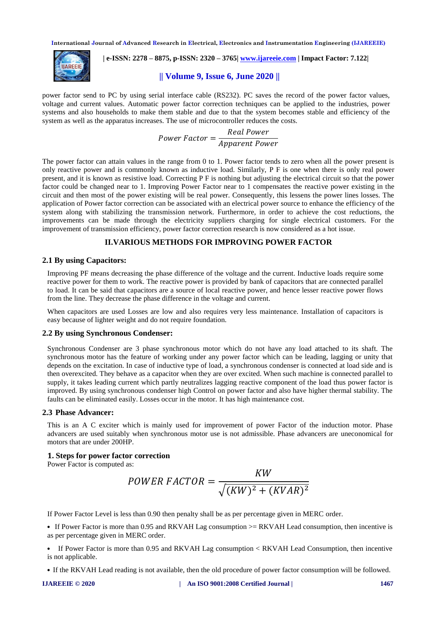

 **| e-ISSN: 2278 – 8875, p-ISSN: 2320 – 3765[| www.ijareeie.com](http://www.ijareeie.com/) | Impact Factor: 7.122|** 

**|| Volume 9, Issue 6, June 2020 ||** 

power factor send to PC by using serial interface cable (RS232). PC saves the record of the power factor values, voltage and current values. Automatic power factor correction techniques can be applied to the industries, power systems and also households to make them stable and due to that the system becomes stable and efficiency of the system as well as the apparatus increases. The use of microcontroller reduces the costs.

> $\overline{P}$  $\boldsymbol{R}$  $\overline{A}$

The power factor can attain values in the range from 0 to 1. Power factor tends to zero when all the power present is only reactive power and is commonly known as inductive load. Similarly, P F is one when there is only real power present, and it is known as resistive load. Correcting P F is nothing but adjusting the electrical circuit so that the power factor could be changed near to 1. Improving Power Factor near to 1 compensates the reactive power existing in the circuit and then most of the power existing will be real power. Consequently, this lessens the power lines losses. The application of Power factor correction can be associated with an electrical power source to enhance the efficiency of the system along with stabilizing the transmission network. Furthermore, in order to achieve the cost reductions, the improvements can be made through the electricity suppliers charging for single electrical customers. For the improvement of transmission efficiency, power factor correction research is now considered as a hot issue.

## **II.VARIOUS METHODS FOR IMPROVING POWER FACTOR**

#### **2.1 By using Capacitors:**

Improving PF means decreasing the phase difference of the voltage and the current. Inductive loads require some reactive power for them to work. The reactive power is provided by bank of capacitors that are connected parallel to load. It can be said that capacitors are a source of local reactive power, and hence lesser reactive power flows from the line. They decrease the phase difference in the voltage and current.

When capacitors are used Losses are low and also requires very less maintenance. Installation of capacitors is easy because of lighter weight and do not require foundation.

#### **2.2 By using Synchronous Condenser:**

Synchronous Condenser are 3 phase synchronous motor which do not have any load attached to its shaft. The synchronous motor has the feature of working under any power factor which can be leading, lagging or unity that depends on the excitation. In case of inductive type of load, a synchronous condenser is connected at load side and is then overexcited. They behave as a capacitor when they are over excited. When such machine is connected parallel to supply, it takes leading current which partly neutralizes lagging reactive component of the load thus power factor is improved. By using synchronous condenser high Control on power factor and also have higher thermal stability. The faults can be eliminated easily. Losses occur in the motor. It has high maintenance cost.

## **2.3 Phase Advancer:**

This is an A C exciter which is mainly used for improvement of power Factor of the induction motor. Phase advancers are used suitably when synchronous motor use is not admissible. Phase advancers are uneconomical for motors that are under 200HP.

#### **1. Steps for power factor correction**

Power Factor is computed as:

$$
POWER\;FACTOR = \frac{KW}{\sqrt{(KW)^2 + (KVAR)^2)}}
$$

If Power Factor Level is less than 0.90 then penalty shall be as per percentage given in MERC order.

• If Power Factor is more than 0.95 and RKVAH Lag consumption  $>=$  RKVAH Lead consumption, then incentive is as per percentage given in MERC order.

• If Power Factor is more than 0.95 and RKVAH Lag consumption < RKVAH Lead Consumption, then incentive is not applicable.

• If the RKVAH Lead reading is not available, then the old procedure of power factor consumption will be followed.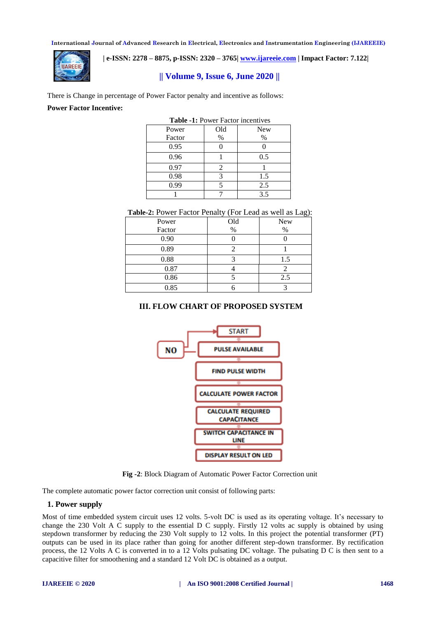

 **| e-ISSN: 2278 – 8875, p-ISSN: 2320 – 3765[| www.ijareeie.com](http://www.ijareeie.com/) | Impact Factor: 7.122|** 

**|| Volume 9, Issue 6, June 2020 ||** 

There is Change in percentage of Power Factor penalty and incentive as follows:

#### **Power Factor Incentive:**

| <b>Table -1: Power Factor incentives</b> |      |            |  |  |
|------------------------------------------|------|------------|--|--|
| Power                                    | Old  | <b>New</b> |  |  |
| Factor                                   | $\%$ | $\%$       |  |  |
| 0.95                                     |      |            |  |  |
| 0.96                                     |      | 0.5        |  |  |
| 0.97                                     | 2    |            |  |  |
| 0.98                                     | 3    | 1.5        |  |  |
| 0.99                                     |      | 2.5        |  |  |
|                                          |      | 3.5        |  |  |

| Table-2: Power Factor Penalty (For Lead as well as Lag): |  |  |  |
|----------------------------------------------------------|--|--|--|
|----------------------------------------------------------|--|--|--|

| Power  | Old  | New |
|--------|------|-----|
| Factor | $\%$ | %   |
| 0.90   |      |     |
| 0.89   |      |     |
| 0.88   |      | 1.5 |
| 0.87   |      |     |
| 0.86   |      | 2.5 |
| 0.85   |      |     |

# **III. FLOW CHART OF PROPOSED SYSTEM**



**Fig -2**: Block Diagram of Automatic Power Factor Correction unit

The complete automatic power factor correction unit consist of following parts:

## **1. Power supply**

Most of time embedded system circuit uses 12 volts. 5-volt DC is used as its operating voltage. It's necessary to change the 230 Volt A C supply to the essential D C supply. Firstly 12 volts ac supply is obtained by using stepdown transformer by reducing the 230 Volt supply to 12 volts. In this project the potential transformer (PT) outputs can be used in its place rather than going for another different step-down transformer. By rectification process, the 12 Volts A C is converted in to a 12 Volts pulsating DC voltage. The pulsating D C is then sent to a capacitive filter for smoothening and a standard 12 Volt DC is obtained as a output.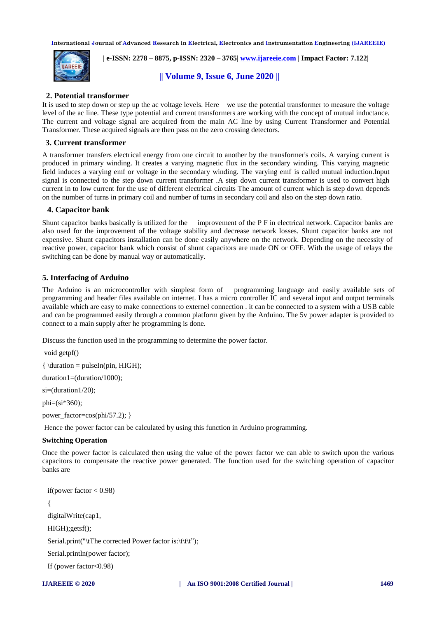

 **| e-ISSN: 2278 – 8875, p-ISSN: 2320 – 3765[| www.ijareeie.com](http://www.ijareeie.com/) | Impact Factor: 7.122|** 

**|| Volume 9, Issue 6, June 2020 ||** 

# **2. Potential transformer**

It is used to step down or step up the ac voltage levels. Here we use the potential transformer to measure the voltage level of the ac line. These type potential and current transformers are working with the concept of mutual inductance. The current and voltage signal are acquired from the main AC line by using Current Transformer and Potential Transformer. These acquired signals are then pass on the zero crossing detectors.

# **3. Current transformer**

A transformer transfers electrical energy from one circuit to another by the transformer's coils. A varying current is produced in primary winding. It creates a varying magnetic flux in the secondary winding. This varying magnetic field induces a varying emf or voltage in the secondary winding. The varying emf is called mutual induction.Input signal is connected to the step down current transformer .A step down current transformer is used to convert high current in to low current for the use of different electrical circuits The amount of current which is step down depends on the number of turns in primary coil and number of turns in secondary coil and also on the step down ratio.

## **4. Capacitor bank**

Shunt capacitor banks basically is utilized for the improvement of the P F in electrical network. Capacitor banks are also used for the improvement of the voltage stability and decrease network losses. Shunt capacitor banks are not expensive. Shunt capacitors installation can be done easily anywhere on the network. Depending on the necessity of reactive power, capacitor bank which consist of shunt capacitors are made ON or OFF. With the usage of relays the switching can be done by manual way or automatically.

# **5. Interfacing of Arduino**

The Arduino is an microcontroller with simplest form of programming language and easily available sets of programming and header files available on internet. I has a micro controller IC and several input and output terminals available which are easy to make connections to externel connection . it can be connected to a system with a USB cable and can be programmed easily through a common platform given by the Arduino. The 5v power adapter is provided to connect to a main supply after he programming is done.

Discuss the function used in the programming to determine the power factor.

void getpf()

{ \duration = pulseIn(pin, HIGH);

duration1=(duration/1000);

 $si=(duration1/20);$ 

 $phi=(si*360);$ 

power\_factor=cos(phi/57.2); }

Hence the power factor can be calculated by using this function in Arduino programming.

#### **Switching Operation**

Once the power factor is calculated then using the value of the power factor we can able to switch upon the various capacitors to compensate the reactive power generated. The function used for the switching operation of capacitor banks are

```
if(power factor < 0.98)
{
digitalWrite(cap1,
HIGH);getsf();
Serial.print("\tThe corrected Power factor is:\t\t\t");
Serial.println(power factor);
If (power factor<0.98)
```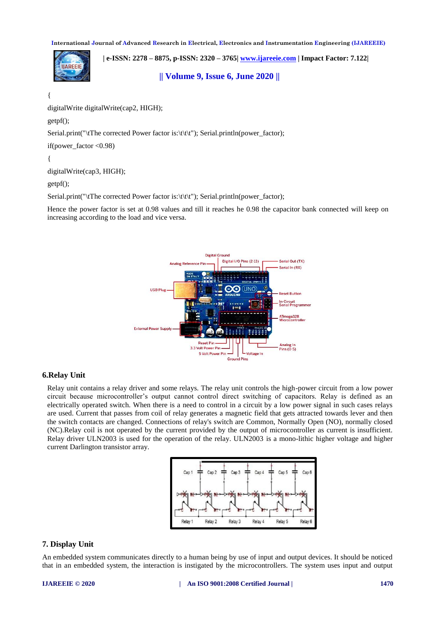**| e-ISSN: 2278 – 8875, p-ISSN: 2320 – 3765[| www.ijareeie.com](http://www.ijareeie.com/) | Impact Factor: 7.122| IIARFFIF || Volume 9, Issue 6, June 2020 ||** 

{

digitalWrite digitalWrite(cap2, HIGH);

getpf();

Serial.print("\tThe corrected Power factor is:\t\t\t"); Serial.println(power\_factor);

if(power\_factor  $<$  0.98)

{

digitalWrite(cap3, HIGH);

getpf();

Serial.print("\tThe corrected Power factor is:\t\t\t"); Serial.println(power\_factor);

Hence the power factor is set at 0.98 values and till it reaches he 0.98 the capacitor bank connected will keep on increasing according to the load and vice versa.



#### **6.Relay Unit**

Relay unit contains a relay driver and some relays. The relay unit controls the high-power circuit from a low power circuit because microcontroller's output cannot control direct switching of capacitors. Relay is defined as an electrically operated switch. When there is a need to control in a circuit by a low power signal in such cases relays are used. Current that passes from coil of relay generates a magnetic field that gets attracted towards lever and then the switch contacts are changed. Connections of relay's switch are Common, Normally Open (NO), normally closed (NC).Relay coil is not operated by the current provided by the output of microcontroller as current is insufficient. Relay driver ULN2003 is used for the operation of the relay. ULN2003 is a mono-lithic higher voltage and higher current Darlington transistor array.



# **7. Display Unit**

An embedded system communicates directly to a human being by use of input and output devices. It should be noticed that in an embedded system, the interaction is instigated by the microcontrollers. The system uses input and output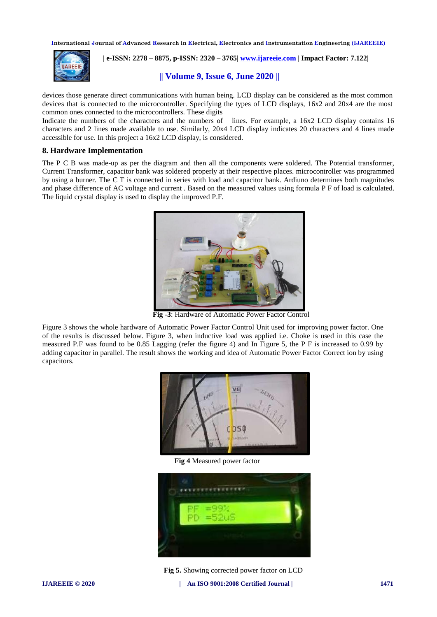

 **| e-ISSN: 2278 – 8875, p-ISSN: 2320 – 3765[| www.ijareeie.com](http://www.ijareeie.com/) | Impact Factor: 7.122|** 

**|| Volume 9, Issue 6, June 2020 ||** 

devices those generate direct communications with human being. LCD display can be considered as the most common devices that is connected to the microcontroller. Specifying the types of LCD displays, 16x2 and 20x4 are the most common ones connected to the microcontrollers. These digits

Indicate the numbers of the characters and the numbers of lines. For example, a 16x2 LCD display contains 16 characters and 2 lines made available to use. Similarly, 20x4 LCD display indicates 20 characters and 4 lines made accessible for use. In this project a 16x2 LCD display, is considered.

#### **8. Hardware Implementation**

The P C B was made-up as per the diagram and then all the components were soldered. The Potential transformer, Current Transformer, capacitor bank was soldered properly at their respective places. microcontroller was programmed by using a burner. The C T is connected in series with load and capacitor bank. Ardiuno determines both magnitudes and phase difference of AC voltage and current . Based on the measured values using formula P F of load is calculated. The liquid crystal display is used to display the improved P.F.



 **Fig -3**: Hardware of Automatic Power Factor Control

Figure 3 shows the whole hardware of Automatic Power Factor Control Unit used for improving power factor. One of the results is discussed below. Figure 3, when inductive load was applied i.e. Choke is used in this case the measured P.F was found to be 0.85 Lagging (refer the figure 4) and In Figure 5, the P F is increased to 0.99 by adding capacitor in parallel. The result shows the working and idea of Automatic Power Factor Correct ion by using capacitors.



**Fig 4** Measured power factor



 **Fig 5.** Showing corrected power factor on LCD